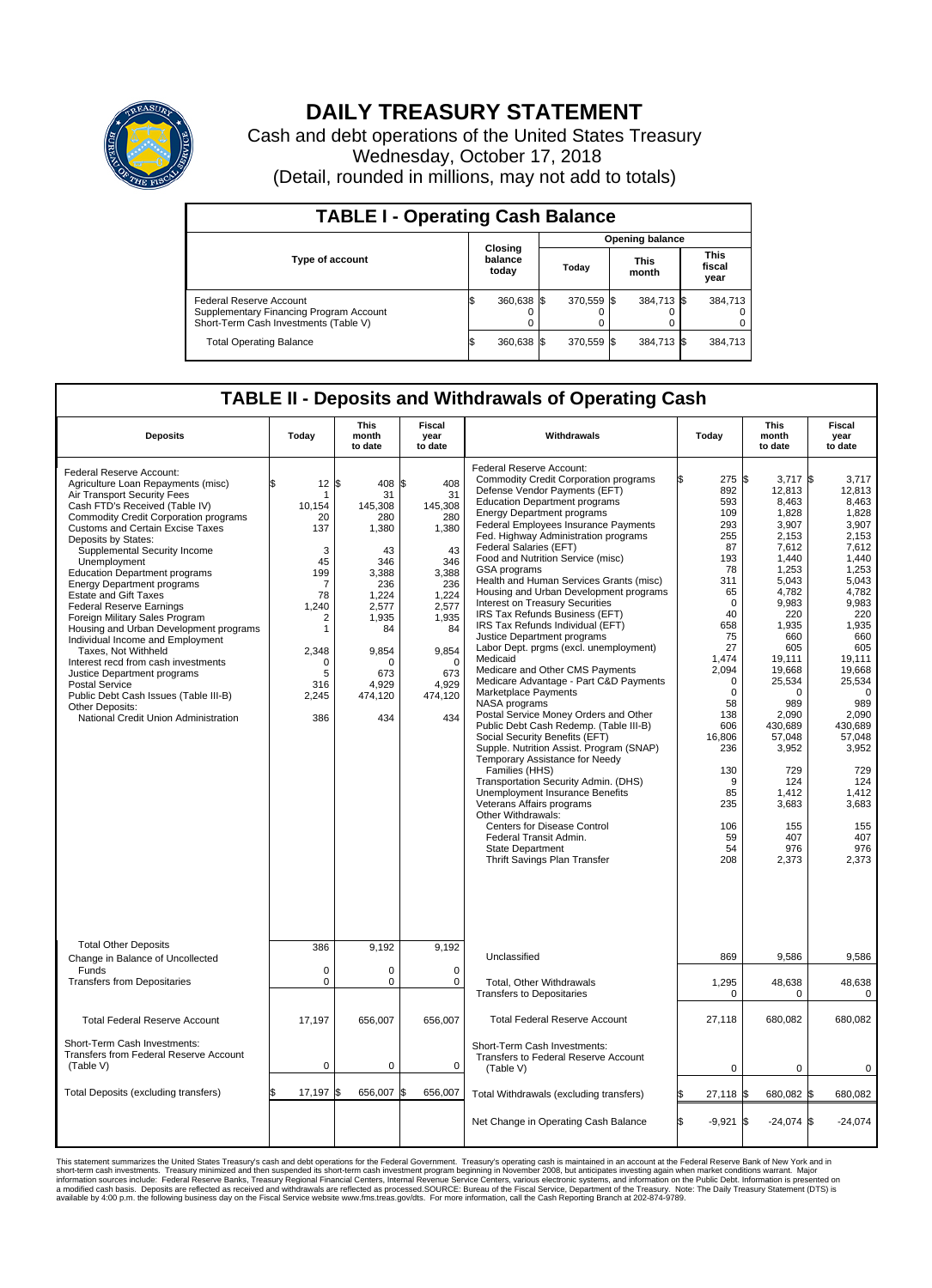

## **DAILY TREASURY STATEMENT**

Cash and debt operations of the United States Treasury Wednesday, October 17, 2018 (Detail, rounded in millions, may not add to totals)

| <b>TABLE I - Operating Cash Balance</b>                                                                     |  |                             |  |                        |  |                      |                               |         |  |  |  |
|-------------------------------------------------------------------------------------------------------------|--|-----------------------------|--|------------------------|--|----------------------|-------------------------------|---------|--|--|--|
|                                                                                                             |  |                             |  | <b>Opening balance</b> |  |                      |                               |         |  |  |  |
| <b>Type of account</b>                                                                                      |  | Closing<br>balance<br>today |  | Today                  |  | <b>This</b><br>month | <b>This</b><br>fiscal<br>year |         |  |  |  |
| Federal Reserve Account<br>Supplementary Financing Program Account<br>Short-Term Cash Investments (Table V) |  | 360,638 \$                  |  | 370,559 \$             |  | 384,713 \$           |                               | 384,713 |  |  |  |
| <b>Total Operating Balance</b>                                                                              |  | 360,638 \$                  |  | 370,559 \$             |  | 384,713 \$           |                               | 384,713 |  |  |  |

## **TABLE II - Deposits and Withdrawals of Operating Cash**

| <b>Deposits</b>                                                                                                                                                                                                                                                                                                                                                                                                                                                                                                                                                                                                                                                                                                                                                                             | Today                                                                                                                                                                 | <b>This</b><br>month<br>to date                                                                                                                       | <b>Fiscal</b><br>year<br>to date                                                                                                                          | Withdrawals                                                                                                                                                                                                                                                                                                                                                                                                                                                                                                                                                                                                                                                                                                                                                                                                                                                                                                                                                                                                                                                                                                                                                                                                                                         | Today                                                                                                                                                                                                                                             | <b>This</b><br>month<br>to date                                                                                                                                                                                                                                                             | <b>Fiscal</b><br>year<br>to date                                                                                                                                                                                                                                                                 |
|---------------------------------------------------------------------------------------------------------------------------------------------------------------------------------------------------------------------------------------------------------------------------------------------------------------------------------------------------------------------------------------------------------------------------------------------------------------------------------------------------------------------------------------------------------------------------------------------------------------------------------------------------------------------------------------------------------------------------------------------------------------------------------------------|-----------------------------------------------------------------------------------------------------------------------------------------------------------------------|-------------------------------------------------------------------------------------------------------------------------------------------------------|-----------------------------------------------------------------------------------------------------------------------------------------------------------|-----------------------------------------------------------------------------------------------------------------------------------------------------------------------------------------------------------------------------------------------------------------------------------------------------------------------------------------------------------------------------------------------------------------------------------------------------------------------------------------------------------------------------------------------------------------------------------------------------------------------------------------------------------------------------------------------------------------------------------------------------------------------------------------------------------------------------------------------------------------------------------------------------------------------------------------------------------------------------------------------------------------------------------------------------------------------------------------------------------------------------------------------------------------------------------------------------------------------------------------------------|---------------------------------------------------------------------------------------------------------------------------------------------------------------------------------------------------------------------------------------------------|---------------------------------------------------------------------------------------------------------------------------------------------------------------------------------------------------------------------------------------------------------------------------------------------|--------------------------------------------------------------------------------------------------------------------------------------------------------------------------------------------------------------------------------------------------------------------------------------------------|
| Federal Reserve Account:<br>Agriculture Loan Repayments (misc)<br>Air Transport Security Fees<br>Cash FTD's Received (Table IV)<br><b>Commodity Credit Corporation programs</b><br><b>Customs and Certain Excise Taxes</b><br>Deposits by States:<br>Supplemental Security Income<br>Unemployment<br><b>Education Department programs</b><br><b>Energy Department programs</b><br><b>Estate and Gift Taxes</b><br><b>Federal Reserve Earnings</b><br>Foreign Military Sales Program<br>Housing and Urban Development programs<br>Individual Income and Employment<br>Taxes. Not Withheld<br>Interest recd from cash investments<br>Justice Department programs<br><b>Postal Service</b><br>Public Debt Cash Issues (Table III-B)<br>Other Deposits:<br>National Credit Union Administration | $12 \,$ $\uparrow$<br>\$<br>1<br>10,154<br>20<br>137<br>3<br>45<br>199<br>$\overline{7}$<br>78<br>1,240<br>2<br>1<br>2,348<br>$\mathbf 0$<br>5<br>316<br>2,245<br>386 | 408 \$<br>31<br>145,308<br>280<br>1,380<br>43<br>346<br>3,388<br>236<br>1,224<br>2,577<br>1,935<br>84<br>9,854<br>O<br>673<br>4,929<br>474,120<br>434 | 408<br>31<br>145,308<br>280<br>1,380<br>43<br>346<br>3,388<br>236<br>1,224<br>2,577<br>1,935<br>84<br>9,854<br>$\Omega$<br>673<br>4,929<br>474,120<br>434 | Federal Reserve Account:<br><b>Commodity Credit Corporation programs</b><br>Defense Vendor Payments (EFT)<br><b>Education Department programs</b><br><b>Energy Department programs</b><br><b>Federal Employees Insurance Payments</b><br>Fed. Highway Administration programs<br>Federal Salaries (EFT)<br>Food and Nutrition Service (misc)<br>GSA programs<br>Health and Human Services Grants (misc)<br>Housing and Urban Development programs<br>Interest on Treasury Securities<br>IRS Tax Refunds Business (EFT)<br>IRS Tax Refunds Individual (EFT)<br>Justice Department programs<br>Labor Dept. prgms (excl. unemployment)<br>Medicaid<br>Medicare and Other CMS Payments<br>Medicare Advantage - Part C&D Payments<br>Marketplace Payments<br>NASA programs<br>Postal Service Money Orders and Other<br>Public Debt Cash Redemp. (Table III-B)<br>Social Security Benefits (EFT)<br>Supple. Nutrition Assist. Program (SNAP)<br>Temporary Assistance for Needy<br>Families (HHS)<br>Transportation Security Admin. (DHS)<br>Unemployment Insurance Benefits<br>Veterans Affairs programs<br>Other Withdrawals:<br><b>Centers for Disease Control</b><br>Federal Transit Admin.<br><b>State Department</b><br>Thrift Savings Plan Transfer | 275S<br>892<br>593<br>109<br>293<br>255<br>87<br>193<br>78<br>311<br>65<br>$\Omega$<br>40<br>658<br>75<br>27<br>1,474<br>2,094<br>$\Omega$<br>$\mathbf 0$<br>58<br>138<br>606<br>16,806<br>236<br>130<br>9<br>85<br>235<br>106<br>59<br>54<br>208 | $3.717$ \$<br>12,813<br>8,463<br>1,828<br>3,907<br>2,153<br>7,612<br>1.440<br>1,253<br>5,043<br>4,782<br>9,983<br>220<br>1,935<br>660<br>605<br>19,111<br>19,668<br>25,534<br>0<br>989<br>2,090<br>430,689<br>57,048<br>3,952<br>729<br>124<br>1.412<br>3,683<br>155<br>407<br>976<br>2,373 | 3,717<br>12.813<br>8,463<br>1,828<br>3,907<br>2,153<br>7,612<br>1.440<br>1,253<br>5,043<br>4,782<br>9,983<br>220<br>1,935<br>660<br>605<br>19.111<br>19,668<br>25,534<br>$\mathbf 0$<br>989<br>2,090<br>430,689<br>57,048<br>3,952<br>729<br>124<br>1.412<br>3,683<br>155<br>407<br>976<br>2,373 |
| <b>Total Other Deposits</b><br>Change in Balance of Uncollected                                                                                                                                                                                                                                                                                                                                                                                                                                                                                                                                                                                                                                                                                                                             | 386                                                                                                                                                                   | 9,192                                                                                                                                                 | 9,192                                                                                                                                                     | Unclassified                                                                                                                                                                                                                                                                                                                                                                                                                                                                                                                                                                                                                                                                                                                                                                                                                                                                                                                                                                                                                                                                                                                                                                                                                                        | 869                                                                                                                                                                                                                                               | 9,586                                                                                                                                                                                                                                                                                       | 9,586                                                                                                                                                                                                                                                                                            |
| Funds<br><b>Transfers from Depositaries</b>                                                                                                                                                                                                                                                                                                                                                                                                                                                                                                                                                                                                                                                                                                                                                 | $\mathbf 0$<br>$\mathbf 0$                                                                                                                                            | 0<br>0                                                                                                                                                | $\mathbf 0$<br>$\mathbf 0$                                                                                                                                | Total, Other Withdrawals<br><b>Transfers to Depositaries</b>                                                                                                                                                                                                                                                                                                                                                                                                                                                                                                                                                                                                                                                                                                                                                                                                                                                                                                                                                                                                                                                                                                                                                                                        | 1,295<br>0                                                                                                                                                                                                                                        | 48,638<br>0                                                                                                                                                                                                                                                                                 | 48,638<br>0                                                                                                                                                                                                                                                                                      |
| <b>Total Federal Reserve Account</b>                                                                                                                                                                                                                                                                                                                                                                                                                                                                                                                                                                                                                                                                                                                                                        | 17,197                                                                                                                                                                | 656,007                                                                                                                                               | 656,007                                                                                                                                                   | <b>Total Federal Reserve Account</b>                                                                                                                                                                                                                                                                                                                                                                                                                                                                                                                                                                                                                                                                                                                                                                                                                                                                                                                                                                                                                                                                                                                                                                                                                | 27,118                                                                                                                                                                                                                                            | 680,082                                                                                                                                                                                                                                                                                     | 680,082                                                                                                                                                                                                                                                                                          |
| Short-Term Cash Investments:<br>Transfers from Federal Reserve Account<br>(Table V)                                                                                                                                                                                                                                                                                                                                                                                                                                                                                                                                                                                                                                                                                                         | $\pmb{0}$                                                                                                                                                             | 0                                                                                                                                                     | 0                                                                                                                                                         | Short-Term Cash Investments:<br>Transfers to Federal Reserve Account<br>(Table V)                                                                                                                                                                                                                                                                                                                                                                                                                                                                                                                                                                                                                                                                                                                                                                                                                                                                                                                                                                                                                                                                                                                                                                   | $\mathbf 0$                                                                                                                                                                                                                                       | $\mathbf 0$                                                                                                                                                                                                                                                                                 | 0                                                                                                                                                                                                                                                                                                |
| Total Deposits (excluding transfers)                                                                                                                                                                                                                                                                                                                                                                                                                                                                                                                                                                                                                                                                                                                                                        | 17,197                                                                                                                                                                | 656,007 \$<br>\$                                                                                                                                      | 656,007                                                                                                                                                   | Total Withdrawals (excluding transfers)                                                                                                                                                                                                                                                                                                                                                                                                                                                                                                                                                                                                                                                                                                                                                                                                                                                                                                                                                                                                                                                                                                                                                                                                             | $27,118$ \$                                                                                                                                                                                                                                       | 680,082 \$                                                                                                                                                                                                                                                                                  | 680,082                                                                                                                                                                                                                                                                                          |
|                                                                                                                                                                                                                                                                                                                                                                                                                                                                                                                                                                                                                                                                                                                                                                                             |                                                                                                                                                                       |                                                                                                                                                       |                                                                                                                                                           | Net Change in Operating Cash Balance                                                                                                                                                                                                                                                                                                                                                                                                                                                                                                                                                                                                                                                                                                                                                                                                                                                                                                                                                                                                                                                                                                                                                                                                                | l\$<br>$-9,921$ \$                                                                                                                                                                                                                                | $-24,074$ \$                                                                                                                                                                                                                                                                                | $-24,074$                                                                                                                                                                                                                                                                                        |

This statement summarizes the United States Treasury's cash and debt operations for the Federal Government. Treasury soperating in November 2008, but anticiarde in a cocount at the Federal Reserve Bank of New York and in<br>s